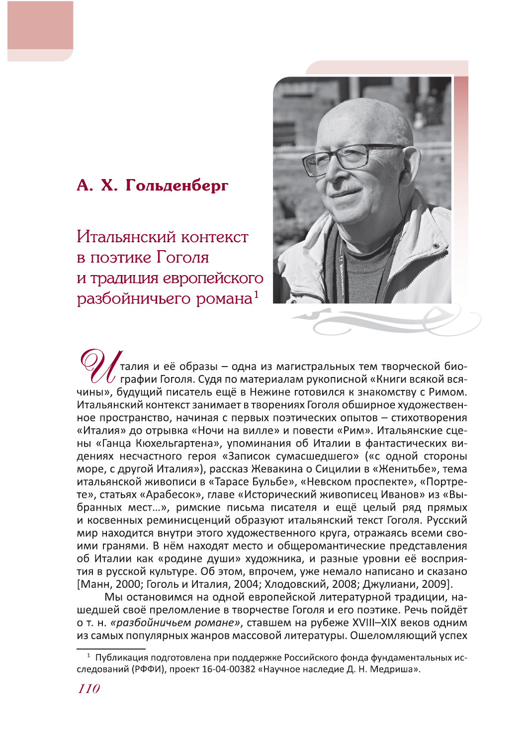## А. Х. Гольденберг

Итальянский контекст в поэтике Гоголя и традиция европейского разбойничьего романа<sup>1</sup>



талия и её образы – одна из магистральных тем творческой био- $\boldsymbol{\ell}$  графии Гоголя. Судя по материалам рукописной «Книги всякой всячины», будущий писатель ещё в Нежине готовился к знакомству с Римом. Итальянский контекст занимает в творениях Гоголя обширное художественное пространство, начиная с первых поэтических опытов - стихотворения «Италия» до отрывка «Ночи на вилле» и повести «Рим». Итальянские сцены «Ганца Кюхельгартена», упоминания об Италии в фантастических видениях несчастного героя «Записок сумасшедшего» («с одной стороны море, с другой Италия»), рассказ Жевакина о Сицилии в «Женитьбе», тема итальянской живописи в «Тарасе Бульбе», «Невском проспекте», «Портрете», статьях «Арабесок», главе «Исторический живописец Иванов» из «Выбранных мест...», римские письма писателя и ещё целый ряд прямых и косвенных реминисценций образуют итальянский текст Гоголя. Русский мир находится внутри этого художественного круга, отражаясь всеми своими гранями. В нём находят место и общеромантические представления об Италии как «родине души» художника, и разные уровни её восприятия в русской культуре. Об этом, впрочем, уже немало написано и сказано [Манн, 2000; Гоголь и Италия, 2004; Хлодовский, 2008; Джулиани, 2009].

Мы остановимся на одной европейской литературной традиции, нашедшей своё преломление в творчестве Гоголя и его поэтике. Речь пойдёт о т. н. «разбойничьем романе», ставшем на рубеже XVIII-XIX веков одним из самых популярных жанров массовой литературы. Ошеломляющий успех

<sup>&</sup>lt;sup>1</sup> Публикация подготовлена при поддержке Российского фонда фундаментальных исследований (РФФИ), проект 16-04-00382 «Научное наследие Д. Н. Медриша».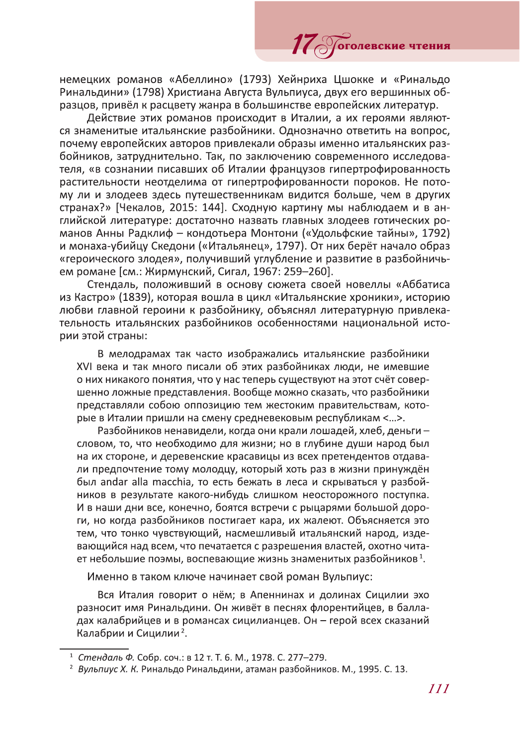немецких романов «Абеллино» (1793) Хейнриха Цшокке и «Ринальдо Ринальдини» (1798) Христиана Августа Вульпиуса, двух его вершинных образцов, привёл к расцвету жанра в большинстве европейских литератур.

17 Отолевские чтения

Действие этих романов происходит в Италии, а их героями являются знаменитые итальянские разбойники. Однозначно ответить на вопрос, почему европейских авторов привлекали образы именно итальянских разбойников, затруднительно. Так, по заключению современного исследователя, «в сознании писавших об Италии французов гипертрофированность растительности неотделима от гипертрофированности пороков. Не потому ли и злодеев здесь путешественникам видится больше, чем в других странах?» [Чекалов, 2015: 144]. Сходную картину мы наблюдаем и в английской литературе: достаточно назвать главных злодеев готических романов Анны Радклиф - кондотьера Монтони («Удольфские тайны», 1792) и монаха-убийцу Скедони («Итальянец», 1797). От них берёт начало образ «героического злодея», получивший углубление и развитие в разбойничьем романе [см.: Жирмунский, Сигал, 1967: 259-260].

Стендаль, положивший в основу сюжета своей новеллы «Аббатиса из Кастро» (1839), которая вошла в цикл «Итальянские хроники», историю любви главной героини к разбойнику, объяснял литературную привлекательность итальянских разбойников особенностями национальной истории этой страны:

В мелодрамах так часто изображались итальянские разбойники XVI века и так много писали об этих разбойниках люди, не имевшие о них никакого понятия, что у нас теперь существуют на этот счёт совершенно ложные представления. Вообще можно сказать, что разбойники представляли собою оппозицию тем жестоким правительствам, которые в Италии пришли на смену средневековым республикам <...>.

Разбойников ненавидели, когда они крали лошадей, хлеб, деньги словом, то, что необходимо для жизни; но в глубине души народ был на их стороне, и деревенские красавицы из всех претендентов отдавали предпочтение тому молодцу, который хоть раз в жизни принуждён был andar alla macchia, то есть бежать в леса и скрываться у разбойников в результате какого-нибудь слишком неосторожного поступка. И в наши дни все, конечно, боятся встречи с рыцарями большой дороги, но когда разбойников постигает кара, их жалеют. Объясняется это тем, что тонко чувствующий, насмешливый итальянский народ, издевающийся над всем, что печатается с разрешения властей, охотно читает небольшие поэмы, воспевающие жизнь знаменитых разбойников<sup>1</sup>.

Именно в таком ключе начинает свой роман Вульпиус:

Вся Италия говорит о нём; в Апеннинах и долинах Сицилии эхо разносит имя Ринальдини. Он живёт в песнях флорентийцев, в балладах калабрийцев и в романсах сицилианцев. Он - герой всех сказаний Калабрии и Сицилии<sup>2</sup>.

<sup>1</sup> Стендаль Ф. Собр. соч.: в 12 т. Т. 6. М., 1978. С. 277-279.

<sup>&</sup>lt;sup>2</sup> Вульпиус Х. К. Ринальдо Ринальдини, атаман разбойников. М., 1995. С. 13.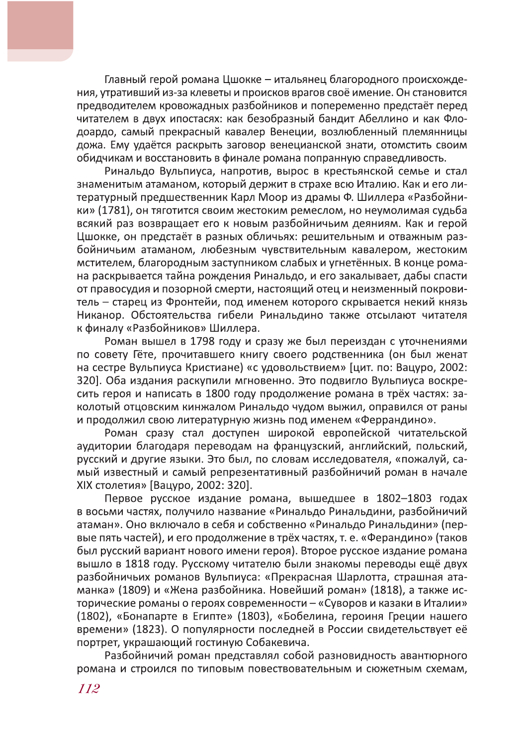Главный герой романа Цшокке - итальянец благородного происхождения, утративший из-за клеветы и происков врагов своё имение. Он становится предводителем кровожадных разбойников и попеременно предстаёт перед читателем в двух ипостасях: как безобразный бандит Абеллино и как Флодоардо. самый прекрасный кавалер Венеции, возлюбленный племянницы дожа. Ему удаётся раскрыть заговор венецианской знати, отомстить своим обидчикам и восстановить в финале романа попранную справедливость.

Ринальдо Вульпиуса, напротив, вырос в крестьянской семье и стал знаменитым атаманом, который держит в страхе всю Италию. Как и его литературный предшественник Карл Моор из драмы Ф. Шиллера «Разбойники» (1781), он тяготится своим жестоким ремеслом, но неумолимая судьба всякий раз возвращает его к новым разбойничьим деяниям. Как и герой Цшокке, он предстаёт в разных обличьях: решительным и отважным разбойничьим атаманом, любезным чувствительным кавалером, жестоким мстителем, благородным заступником слабых и угнетённых. В конце романа раскрывается тайна рождения Ринальдо, и его закалывает, дабы спасти от правосудия и позорной смерти, настоящий отец и неизменный покровитель - старец из Фронтейи, под именем которого скрывается некий князь Никанор. Обстоятельства гибели Ринальдино также отсылают читателя к финалу «Разбойников» Шиллера.

Роман вышел в 1798 году и сразу же был переиздан с уточнениями по совету Гёте, прочитавшего книгу своего родственника (он был женат на сестре Вульпиуса Кристиане) «с удовольствием» [цит. по: Вацуро, 2002: 320]. Оба издания раскупили мгновенно. Это подвигло Вульпиуса воскресить героя и написать в 1800 году продолжение романа в трёх частях: заколотый отцовским кинжалом Ринальдо чудом выжил, оправился от раны и продолжил свою литературную жизнь под именем «Феррандино».

Роман сразу стал доступен широкой европейской читательской аудитории благодаря переводам на французский, английский, польский, русский и другие языки. Это был, по словам исследователя, «пожалуй, самый известный и самый репрезентативный разбойничий роман в начале XIX столетия» [Вацуро, 2002: 320].

Первое русское издание романа, вышедшее в 1802-1803 годах в восьми частях, получило название «Ринальдо Ринальдини, разбойничий атаман». Оно включало в себя и собственно «Ринальдо Ринальдини» (первые пять частей), и его продолжение в трёх частях, т. е. «Ферандино» (таков был русский вариант нового имени героя). Второе русское издание романа вышло в 1818 году. Русскому читателю были знакомы переводы ещё двух разбойничьих романов Вульпиуса: «Прекрасная Шарлотта, страшная атаманка» (1809) и «Жена разбойника. Новейший роман» (1818), а также исторические романы о героях современности - «Суворов и казаки в Италии» (1802), «Бонапарте в Египте» (1803), «Бобелина, героиня Греции нашего времени» (1823). О популярности последней в России свидетельствует её портрет, украшающий гостиную Собакевича.

Разбойничий роман представлял собой разновидность авантюрного романа и строился по типовым повествовательным и сюжетным схемам,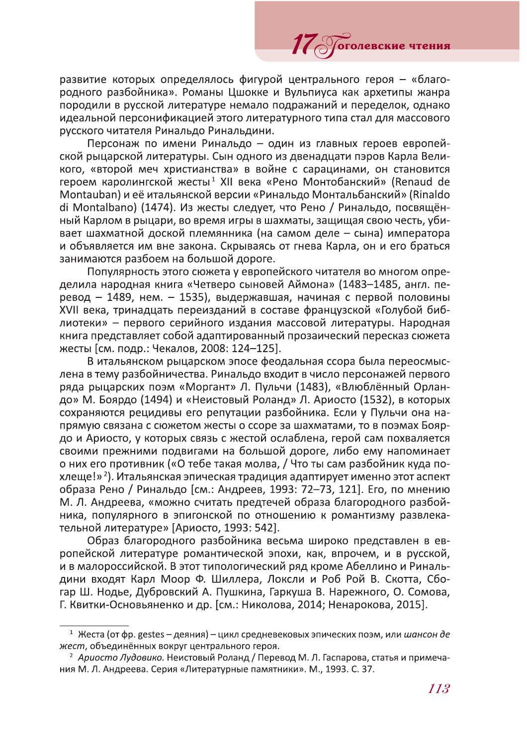развитие которых определялось фигурой центрального героя - «благородного разбойника». Романы Цшокке и Вульпиуса как архетипы жанра породили в русской литературе немало подражаний и переделок, однако идеальной персонификацией этого литературного типа стал для массового русского читателя Ринальдо Ринальдини.

11 Обтолевские

Персонаж по имени Ринальдо - один из главных героев европейской рыцарской литературы. Сын одного из двенадцати пэров Карла Великого, «второй меч христианства» в войне с сарацинами, он становится героем каролингской жесты<sup>1</sup> XII века «Рено Монтобанский» (Renaud de Montauban) и её итальянской версии «Ринальдо Монтальбанский» (Rinaldo di Montalbano) (1474). Из жесты следует, что Рено / Ринальдо, посвящённый Карлом в рыцари, во время игры в шахматы, защищая свою честь, убивает шахматной доской племянника (на самом деле - сына) императора и объявляется им вне закона. Скрываясь от гнева Карла, он и его браться занимаются разбоем на большой дороге.

Популярность этого сюжета у европейского читателя во многом определила народная книга «Четверо сыновей Аймона» (1483-1485, англ. перевод - 1489, нем. - 1535), выдержавшая, начиная с первой половины XVII века, тринадцать переизданий в составе французской «Голубой библиотеки» - первого серийного издания массовой литературы. Народная книга представляет собой адаптированный прозаический пересказ сюжета жесты [см. подр.: Чекалов, 2008: 124-125].

В итальянском рыцарском эпосе феодальная ссора была переосмыслена в тему разбойничества. Ринальдо входит в число персонажей первого ряда рыцарских поэм «Моргант» Л. Пульчи (1483), «Влюблённый Орландо» М. Боярдо (1494) и «Неистовый Роланд» Л. Ариосто (1532), в которых сохраняются рецидивы его репутации разбойника. Если у Пульчи она напрямую связана с сюжетом жесты о ссоре за шахматами, то в поэмах Боярдо и Ариосто, у которых связь с жестой ослаблена, герой сам похваляется своими прежними подвигами на большой дороге, либо ему напоминает о них его противник («О тебе такая молва, / Что ты сам разбойник куда похлеще!»<sup>2</sup>). Итальянская эпическая традиция адаптирует именно этот аспект образа Рено / Ринальдо [см.: Андреев, 1993: 72-73, 121]. Его, по мнению М. Л. Андреева, «можно считать предтечей образа благородного разбойника, популярного в эпигонской по отношению к романтизму развлекательной литературе» [Ариосто, 1993: 542].

Образ благородного разбойника весьма широко представлен в европейской литературе романтической эпохи, как, впрочем, и в русской, и в малороссийской. В этот типологический ряд кроме Абеллино и Ринальдини входят Карл Моор Ф. Шиллера, Локсли и Роб Рой В. Скотта, Сбогар Ш. Нодье, Дубровский А. Пушкина, Гаркуша В. Нарежного, О. Сомова, Г. Квитки-Основьяненко и др. [см.: Николова, 2014; Ненарокова, 2015].

<sup>&</sup>lt;sup>1</sup> Жеста (от фр. gestes – деяния) – цикл средневековых эпических поэм, или шансон де жест, объединённых вокруг центрального героя.

<sup>&</sup>lt;sup>2</sup> Ариосто Лудовико. Неистовый Роланд / Перевод М. Л. Гаспарова, статья и примечания М. Л. Андреева. Серия «Литературные памятники». М., 1993. С. 37.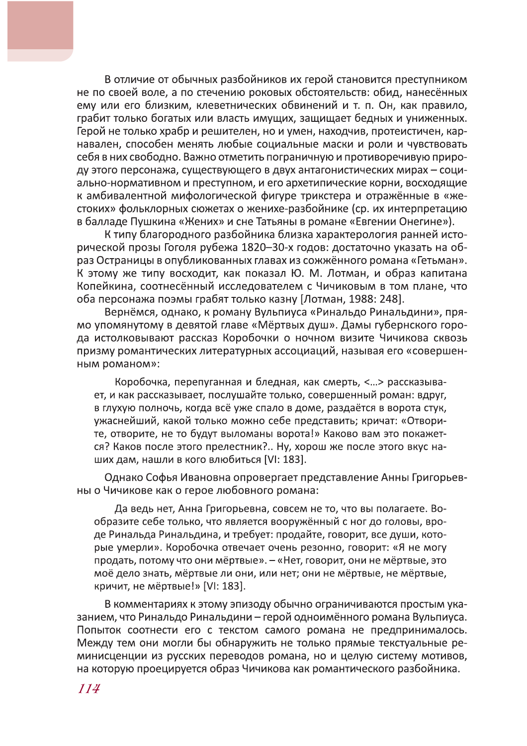В отличие от обычных разбойников их герой становится преступником не по своей воле, а по стечению роковых обстоятельств: обид, нанесённых ему или его близким, клеветнических обвинений и т. п. Он, как правило, грабит только богатых или власть имущих, защищает бедных и униженных. Герой не только храбр и решителен, но и умен, находчив, протеистичен, карнавален, способен менять любые социальные маски и роли и чувствовать себя в них свободно. Важно отметить пограничную и противоречивую природу этого персонажа, существующего в двух антагонистических мирах - социально-нормативном и преступном, и его архетипические корни, восходящие к амбивалентной мифологической фигуре трикстера и отражённые в «жестоких» фольклорных сюжетах о женихе-разбойнике (ср. их интерпретацию в балладе Пушкина «Жених» и сне Татьяны в романе «Евгении Онегине»).

К типу благородного разбойника близка характерология ранней исторической прозы Гоголя рубежа 1820-30-х годов: достаточно указать на образ Остраницы в опубликованных главах из сожжённого романа «Гетьман». К этому же типу восходит, как показал Ю. М. Лотман, и образ капитана Копейкина, соотнесённый исследователем с Чичиковым в том плане, что оба персонажа поэмы грабят только казну [Лотман, 1988: 248].

Вернёмся, однако, к роману Вульпиуса «Ринальдо Ринальдини», прямо упомянутому в девятой главе «Мёртвых душ». Дамы губернского города истолковывают рассказ Коробочки о ночном визите Чичикова сквозь призму романтических литературных ассоциаций, называя его «совершенным романом»:

Коробочка, перепуганная и бледная, как смерть, <...> рассказывает, и как рассказывает, послушайте только, совершенный роман: вдруг, в глухую полночь, когда всё уже спало в доме, раздаётся в ворота стук, ужаснейший, какой только можно себе представить; кричат: «Отворите, отворите, не то будут выломаны ворота!» Каково вам это покажется? Каков после этого прелестник?.. Ну, хорош же после этого вкус наших дам, нашли в кого влюбиться [VI: 183].

Однако Софья Ивановна опровергает представление Анны Григорьевны о Чичикове как о герое любовного романа:

Да ведь нет, Анна Григорьевна, совсем не то, что вы полагаете. Вообразите себе только, что является вооружённый с ног до головы, вроде Ринальда Ринальдина, и требует: продайте, говорит, все души, которые умерли». Коробочка отвечает очень резонно, говорит: «Я не могу продать, потому что они мёртвые». - «Нет, говорит, они не мёртвые, это моё дело знать, мёртвые ли они, или нет; они не мёртвые, не мёртвые, кричит, не мёртвые!» [VI: 183].

В комментариях к этому эпизоду обычно ограничиваются простым указанием, что Ринальдо Ринальдини - герой одноимённого романа Вульпиуса. Попыток соотнести его с текстом самого романа не предпринималось. Между тем они могли бы обнаружить не только прямые текстуальные реминисценции из русских переводов романа, но и целую систему мотивов, на которую проецируется образ Чичикова как романтического разбойника.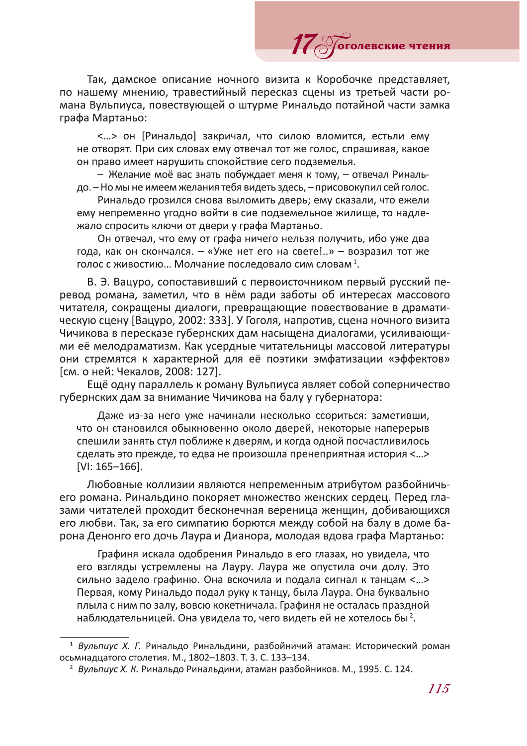Так, дамское описание ночного визита к Коробочке представляет, по нашему мнению, травестийный пересказ сцены из третьей части романа Вульпиуса, повествующей о штурме Ринальдо потайной части замка графа Мартаньо:

11 Обратовские чтения

<...> он [Ринальдо] закричал, что силою вломится, естьли ему не отворят. При сих словах ему отвечал тот же голос, спрашивая, какое он право имеет нарушить спокойствие сего подземелья.

- Желание моё вас знать побуждает меня к тому, - отвечал Ринальдо. - Но мы не имеем желания тебя видеть здесь, - присовокупил сей голос.

Ринальдо грозился снова выломить дверь; ему сказали, что ежели ему непременно угодно войти в сие подземельное жилище, то надлежало спросить ключи от двери у графа Мартаньо.

Он отвечал, что ему от графа ничего нельзя получить, ибо уже два года, как он скончался. - «Уже нет его на свете!..» - возразил тот же голос с живостию... Молчание последовало сим словам<sup>1</sup>.

В. Э. Вацуро, сопоставивший с первоисточником первый русский перевод романа, заметил, что в нём ради заботы об интересах массового читателя, сокрашены диалоги, превращающие повествование в драматическую сцену [Вацуро, 2002: 333]. У Гоголя, напротив, сцена ночного визита Чичикова в пересказе губернских дам насыщена диалогами, усиливающими её мелодраматизм. Как усердные читательницы массовой литературы они стремятся к характерной для её поэтики эмфатизации «эффектов» [см. о ней: Чекалов, 2008: 127].

Ещё одну параллель к роману Вульпиуса являет собой соперничество губернских дам за внимание Чичикова на балу у губернатора:

Даже из-за него уже начинали несколько ссориться: заметивши, что он становился обыкновенно около дверей, некоторые наперерыв спешили занять стул поближе к дверям, и когда одной посчастливилось сделать это прежде, то едва не произошла пренеприятная история <...>  $[V]: 165 - 166].$ 

Любовные коллизии являются непременным атрибутом разбойничьего романа. Ринальдино покоряет множество женских сердец. Перед глазами читателей проходит бесконечная вереница женщин, добивающихся его любви. Так, за его симпатию борются между собой на балу в доме барона Денонго его дочь Лаура и Дианора, молодая вдова графа Мартаньо:

Графиня искала одобрения Ринальдо в его глазах, но увидела, что его взгляды устремлены на Лауру. Лаура же опустила очи долу. Это сильно задело графиню. Она вскочила и подала сигнал к танцам <...> Первая, кому Ринальдо подал руку к танцу, была Лаура. Она буквально плыла с ним по залу, вовсю кокетничала. Графиня не осталась праздной наблюдательницей. Она увидела то, чего видеть ей не хотелось бы<sup>2</sup>.

<sup>&</sup>lt;sup>1</sup> Вульпиус Х. Г. Ринальдо Ринальдини, разбойничий атаман: Исторический роман осьмнадцатого столетия. М., 1802-1803. Т. 3. С. 133-134.

<sup>&</sup>lt;sup>2</sup> Вульпиус Х. К. Ринальдо Ринальдини, атаман разбойников. М., 1995. С. 124.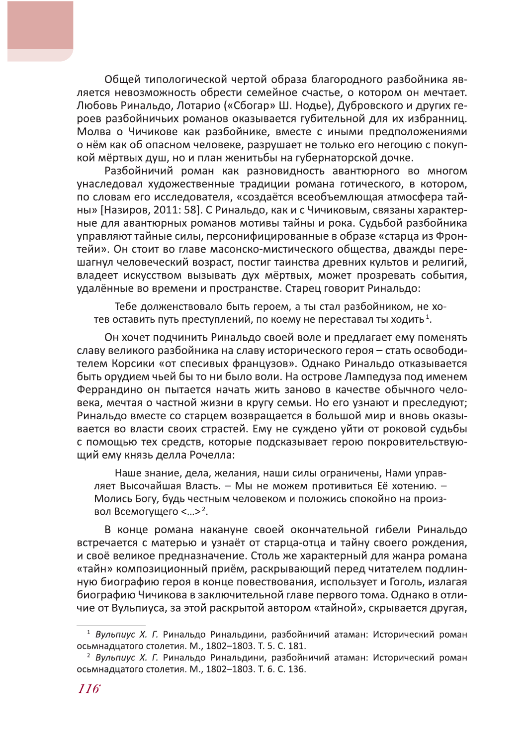Общей типологической чертой образа благородного разбойника является невозможность обрести семейное счастье, о котором он мечтает. Любовь Ринальдо, Лотарио («Сбогар» Ш. Нодье), Дубровского и других героев разбойничьих романов оказывается губительной для их избранниц. Молва о Чичикове как разбойнике, вместе с иными предположениями о нём как об опасном человеке, разрушает не только его негоцию с покупкой мёртвых душ, но и план женитьбы на губернаторской дочке.

Разбойничий роман как разновидность авантюрного во многом унаследовал художественные традиции романа готического, в котором, по словам его исследователя, «создаётся всеобъемлющая атмосфера тайны» [Назиров, 2011: 58]. С Ринальдо, как и с Чичиковым, связаны характерные для авантюрных романов мотивы тайны и рока. Судьбой разбойника управляют тайные силы, персонифицированные в образе «старца из Фронтейи». Он стоит во главе масонско-мистического общества, дважды перешагнул человеческий возраст, постиг таинства древних культов и религий, владеет искусством вызывать дух мёртвых, может прозревать события, удалённые во времени и пространстве. Старец говорит Ринальдо:

Тебе долженствовало быть героем, а ты стал разбойником, не хотев оставить путь преступлений, по коему не переставал ты ходить<sup>1</sup>.

Он хочет подчинить Ринальдо своей воле и предлагает ему поменять славу великого разбойника на славу исторического героя - стать освободителем Корсики «от спесивых французов». Однако Ринальдо отказывается быть орудием чьей бы то ни было воли. На острове Лампедуза под именем Феррандино он пытается начать жить заново в качестве обычного человека, мечтая о частной жизни в кругу семьи. Но его узнают и преследуют: Ринальдо вместе со старцем возвращается в большой мир и вновь оказывается во власти своих страстей. Ему не суждено уйти от роковой судьбы с помощью тех средств, которые подсказывает герою покровительствующий ему князь делла Рочелла:

Наше знание, дела, желания, наши силы ограничены, Нами управляет Высочайшая Власть. - Мы не можем противиться Её хотению. -Молись Богу, будь честным человеком и положись спокойно на произвол Всемогущего <...>2.

В конце романа накануне своей окончательной гибели Ринальдо встречается с матерью и узнаёт от старца-отца и тайну своего рождения, и своё великое предназначение. Столь же характерный для жанра романа «тайн» композиционный приём, раскрывающий перед читателем подлинную биографию героя в конце повествования, использует и Гоголь, излагая биографию Чичикова в заключительной главе первого тома. Однако в отличие от Вульпиуса, за этой раскрытой автором «тайной», скрывается другая,

<sup>&</sup>lt;sup>1</sup> Вульпиус Х. Г. Ринальдо Ринальдини, разбойничий атаман: Исторический роман осьмнадцатого столетия. М., 1802-1803. Т. 5. С. 181.

<sup>&</sup>lt;sup>2</sup> Вульпиус Х. Г. Ринальдо Ринальдини, разбойничий атаман: Исторический роман осьмнадцатого столетия. М., 1802-1803. Т. 6. С. 136.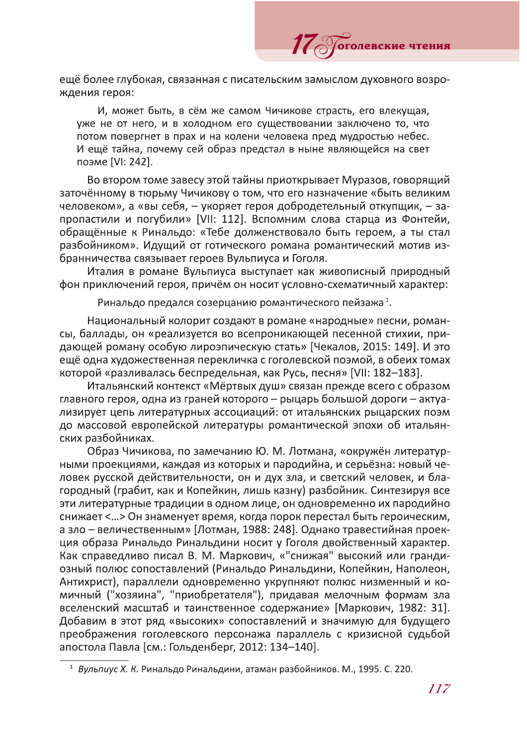ещё более глубокая, связанная с писательским замыслом духовного возрождения героя:

оголевские чтения

И, может быть, в сём же самом Чичикове страсть, его влекущая, уже не от него, и в холодном его существовании заключено то, что потом повергнет в прах и на колени человека пред мудростью небес. И ещё тайна, почему сей образ предстал в ныне являющейся на свет поэме [VI: 242].

Во втором томе завесу этой тайны приоткрывает Муразов, говорящий заточённому в тюрьму Чичикову о том, что его назначение «быть великим человеком», а «вы себя, - укоряет героя добродетельный откупщик, - запропастили и погубили» [VII: 112]. Вспомним слова старца из Фонтейи, обращённые к Ринальдо: «Тебе долженствовало быть героем, а ты стал разбойником». Идущий от готического романа романтический мотив избранничества связывает героев Вульпиуса и Гоголя.

Италия в романе Вульпиуса выступает как живописный природный фон приключений героя, причём он носит условно-схематичный характер:

Ринальдо предался созерцанию романтического пейзажа<sup>1</sup>.

Национальный колорит создают в романе «народные» песни, романсы, баллады, он «реализуется во всепроникающей песенной стихии, придающей роману особую лироэпическую стать» [Чекалов, 2015: 149]. И это ещё одна художественная перекличка с гоголевской поэмой, в обеих томах которой «разливалась беспредельная, как Русь, песня» [VII: 182-183].

Итальянский контекст «Мёртвых душ» связан прежде всего с образом главного героя, одна из граней которого – рыцарь большой дороги – актуализирует цепь литературных ассоциаций: от итальянских рыцарских поэм до массовой европейской литературы романтической эпохи об итальянских разбойниках.

Образ Чичикова, по замечанию Ю. М. Лотмана, «окружён литературными проекциями, каждая из которых и пародийна, и серьёзна: новый человек русской действительности, он и дух зла, и светский человек, и благородный (грабит, как и Копейкин, лишь казну) разбойник. Синтезируя все эти литературные традиции в одном лице, он одновременно их пародийно снижает <... > Он знаменует время, когда порок перестал быть героическим, а зло - величественным» [Лотман, 1988: 248]. Однако травестийная проекция образа Ринальдо Ринальдини носит у Гоголя двойственный характер. Как справедливо писал В. М. Маркович, «"снижая" высокий или грандиозный полюс сопоставлений (Ринальдо Ринальдини, Копейкин, Наполеон, Антихрист), параллели одновременно укрупняют полюс низменный и комичный ("хозяина", "приобретателя"), придавая мелочным формам зла вселенский масштаб и таинственное содержание» [Маркович, 1982: 31]. Добавим в этот ряд «высоких» сопоставлений и значимую для будущего преображения гоголевского персонажа параллель с кризисной судьбой апостола Павла [см.: Гольденберг, 2012: 134-140].

<sup>&</sup>lt;sup>1</sup> Вульпиус Х. К. Ринальдо Ринальдини, атаман разбойников. М., 1995. С. 220.